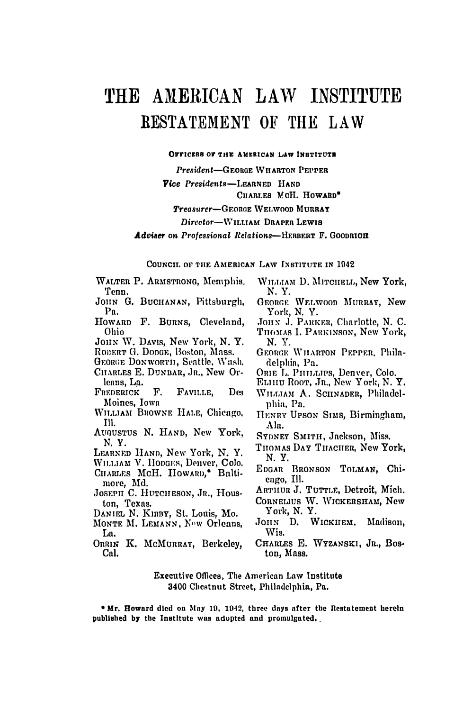# THE AMERICAN LAW INSTITUTE RESTATEMENT OF THE LAW

#### OFFICERS OF THE AMERICAN LAW INSTITUTE

President-GEORGE WHARTON PEPPER Vice Presidents-LEARNED HAND CHARLES MCH. HOWARD\* Treasurer-GEORGE WELWOOD MURRAY Director-WILLIAM DRAPER LEWIS Adviser on Professional Relations-HERBERT F. GOODRICH

#### COUNCIL OF THE AMERICAN LAW INSTITUTE IN 1942

WALTER P. ARMSTRONG. Memphis. Tenn.

- JOHN G. BUCHANAN, Pittsburgh, P<sub>n</sub>
- HOWARD F. BURNS, Cleveland, Ohio
- JOHN W. DAVIS, New York, N. Y.
- ROBERT G. DODGE, Boston, Mass.

GEORGE DONWORTH, Seattle, Wash.

CITARLES E. DUNBAR, JR., New Orleans, La.

- FREDERICK F. FAVILLE. **Des** Moines, Iowa
- WILLIAM BROWNE HALE, Chicago. TII.
- AUGUSTUS N. HAND, New York. N.Y.
- LEARNED HAND, New York, N. Y.
- WILLIAM V. HODGES, Denver, Colo. CHARLES McH. HOWARD,\* Balti-
- more, Md.
- JOSEPH C. HUTCHESON, JR., Houston, Texas.
- DANIEL N. KIRBY, St. Louis, Mo.
- MONTE M. LEMANN, Now Orleans, La.
- ORRIN K. McMURRAY, Berkeley. Cal.
- WILLIAM D. MITCHELL, New York. N.Y.
- GEORGE WELWOOD MURRAY, New York, N.Y.
- JOHN J. PARKER, Charlotte, N. C.
- THOMAS I. PARKINSON, New York. N. Y.
- GEORGE WILARTON PEPPER. Philadelphia, Pa.
- ORIE L. PHILLIPS, Denver, Colo.
- ELHIU ROOT, JR., New York, N. Y.
- WILLIAM A. SCHNADER, Philadelphia, Pa.
- HENRY UPSON SIMS, Birmingham, Ala.
- SYDNEY SMITH, Jackson, Miss.
- THOMAS DAY THACHER. New York. N.Y.
- EDGAR BRONSON TOLMAN, Chicago, Ill.
- ARTHUR J. TUTTLE, Detroit, Mich.
- CORNELIUS W. WICKERSHAM, New York, N.Y.
- JOHN D. WICKHEM. Madison. Wis.
- CHARLES E. WYZANSKI, JR., Boston, Mass.
- **Executive Offices. The American Law Institute** 3400 Chestnut Street, Philadelphia, Pa.

\* Mr. Howard died on May 19, 1942, three days after the Restatement herein published by the Institute was adopted and promulgated.